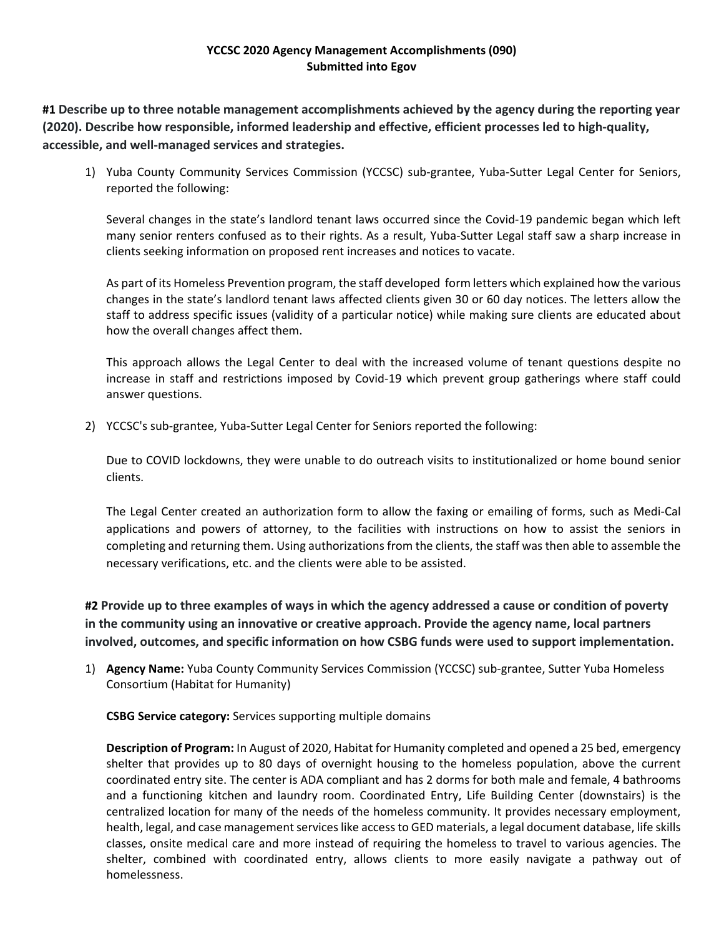# **YCCSC 2020 Agency Management Accomplishments (090) Submitted into Egov**

**#1 Describe up to three notable management accomplishments achieved by the agency during the reporting year (2020). Describe how responsible, informed leadership and effective, efficient processes led to high‐quality, accessible, and well‐managed services and strategies.**

1) Yuba County Community Services Commission (YCCSC) sub-grantee, Yuba-Sutter Legal Center for Seniors, reported the following:

Several changes in the state's landlord tenant laws occurred since the Covid‐19 pandemic began which left many senior renters confused as to their rights. As a result, Yuba‐Sutter Legal staff saw a sharp increase in clients seeking information on proposed rent increases and notices to vacate.

As part of its Homeless Prevention program, the staff developed form letters which explained how the various changes in the state's landlord tenant laws affected clients given 30 or 60 day notices. The letters allow the staff to address specific issues (validity of a particular notice) while making sure clients are educated about how the overall changes affect them.

This approach allows the Legal Center to deal with the increased volume of tenant questions despite no increase in staff and restrictions imposed by Covid‐19 which prevent group gatherings where staff could answer questions.

2) YCCSC's sub-grantee, Yuba-Sutter Legal Center for Seniors reported the following:

Due to COVID lockdowns, they were unable to do outreach visits to institutionalized or home bound senior clients.

The Legal Center created an authorization form to allow the faxing or emailing of forms, such as Medi‐Cal applications and powers of attorney, to the facilities with instructions on how to assist the seniors in completing and returning them. Using authorizations from the clients, the staff was then able to assemble the necessary verifications, etc. and the clients were able to be assisted.

#2 Provide up to three examples of ways in which the agency addressed a cause or condition of poverty **in the community using an innovative or creative approach. Provide the agency name, local partners involved, outcomes, and specific information on how CSBG funds were used to support implementation.**

1) **Agency Name:** Yuba County Community Services Commission (YCCSC) sub‐grantee, Sutter Yuba Homeless Consortium (Habitat for Humanity)

**CSBG Service category:** Services supporting multiple domains

**Description of Program:** In August of 2020, Habitat for Humanity completed and opened a 25 bed, emergency shelter that provides up to 80 days of overnight housing to the homeless population, above the current coordinated entry site. The center is ADA compliant and has 2 dorms for both male and female, 4 bathrooms and a functioning kitchen and laundry room. Coordinated Entry, Life Building Center (downstairs) is the centralized location for many of the needs of the homeless community. It provides necessary employment, health, legal, and case management services like access to GED materials, a legal document database, life skills classes, onsite medical care and more instead of requiring the homeless to travel to various agencies. The shelter, combined with coordinated entry, allows clients to more easily navigate a pathway out of homelessness.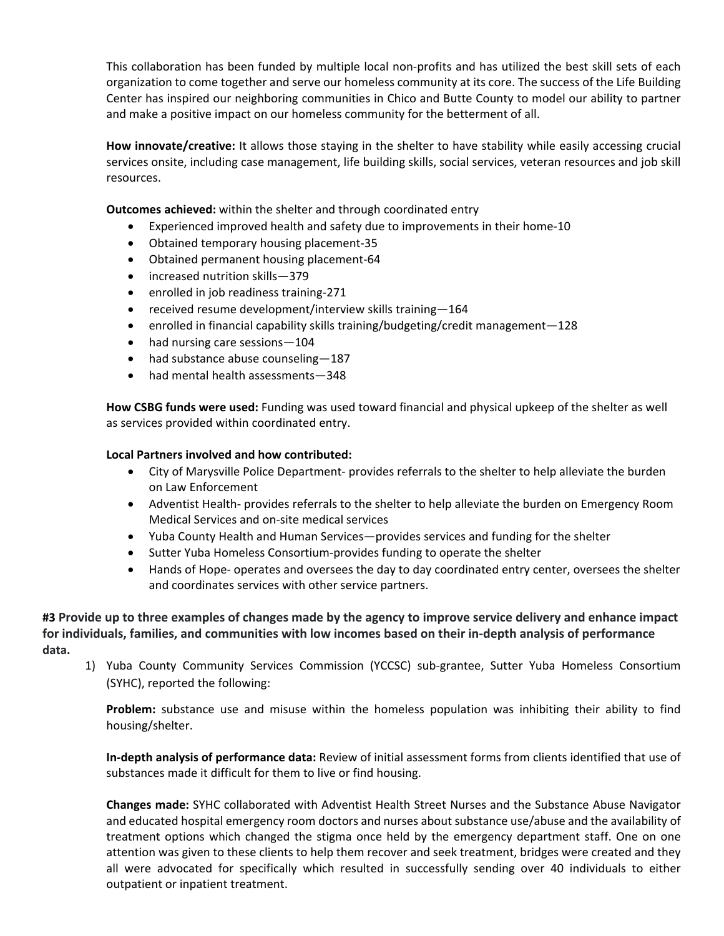This collaboration has been funded by multiple local non‐profits and has utilized the best skill sets of each organization to come together and serve our homeless community at its core. The success of the Life Building Center has inspired our neighboring communities in Chico and Butte County to model our ability to partner and make a positive impact on our homeless community for the betterment of all.

**How innovate/creative:** It allows those staying in the shelter to have stability while easily accessing crucial services onsite, including case management, life building skills, social services, veteran resources and job skill resources.

**Outcomes achieved:** within the shelter and through coordinated entry

- Experienced improved health and safety due to improvements in their home‐10
- Obtained temporary housing placement-35
- Obtained permanent housing placement-64
- increased nutrition skills—379
- enrolled in job readiness training-271
- received resume development/interview skills training-164
- enrolled in financial capability skills training/budgeting/credit management—128
- had nursing care sessions-104
- had substance abuse counseling-187
- had mental health assessments—348

**How CSBG funds were used:** Funding was used toward financial and physical upkeep of the shelter as well as services provided within coordinated entry.

## **Local Partners involved and how contributed:**

- City of Marysville Police Department‐ provides referrals to the shelter to help alleviate the burden on Law Enforcement
- Adventist Health- provides referrals to the shelter to help alleviate the burden on Emergency Room Medical Services and on‐site medical services
- Yuba County Health and Human Services—provides services and funding for the shelter
- Sutter Yuba Homeless Consortium-provides funding to operate the shelter
- Hands of Hope- operates and oversees the day to day coordinated entry center, oversees the shelter and coordinates services with other service partners.

#3 Provide up to three examples of changes made by the agency to improve service delivery and enhance impact for individuals, families, and communities with low incomes based on their in-depth analysis of performance **data.**

1) Yuba County Community Services Commission (YCCSC) sub‐grantee, Sutter Yuba Homeless Consortium (SYHC), reported the following:

**Problem:** substance use and misuse within the homeless population was inhibiting their ability to find housing/shelter.

**In‐depth analysis of performance data:** Review of initial assessment forms from clients identified that use of substances made it difficult for them to live or find housing.

**Changes made:** SYHC collaborated with Adventist Health Street Nurses and the Substance Abuse Navigator and educated hospital emergency room doctors and nurses about substance use/abuse and the availability of treatment options which changed the stigma once held by the emergency department staff. One on one attention was given to these clients to help them recover and seek treatment, bridges were created and they all were advocated for specifically which resulted in successfully sending over 40 individuals to either outpatient or inpatient treatment.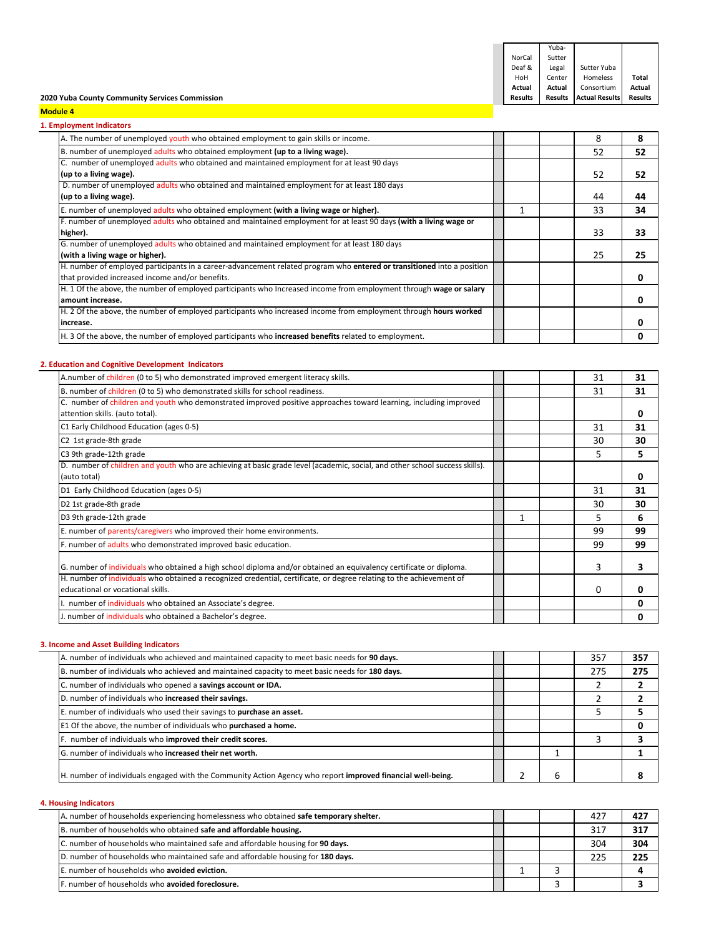| <b>Module 4</b>                                |                |         |                       |         |  |
|------------------------------------------------|----------------|---------|-----------------------|---------|--|
| 2020 Yuba County Community Services Commission | <b>Results</b> | Results | <b>Actual Results</b> | Results |  |
|                                                | Actual         | Actual  | Consortium            | Actual  |  |
|                                                | HoH            | Center  | Homeless              | Total   |  |
|                                                | Deaf &         | Legal   | Sutter Yuba           |         |  |
|                                                | NorCal         | Sutter  |                       |         |  |
|                                                |                | Yuba-   |                       |         |  |

#### **1. Employment Indicators**

| A. The number of unemployed youth who obtained employment to gain skills or income.                                     | 8  | 8  |
|-------------------------------------------------------------------------------------------------------------------------|----|----|
| B. number of unemployed adults who obtained employment (up to a living wage).                                           | 52 | 52 |
| C. number of unemployed adults who obtained and maintained employment for at least 90 days                              |    |    |
| (up to a living wage).                                                                                                  | 52 | 52 |
| D. number of unemployed adults who obtained and maintained employment for at least 180 days                             |    |    |
| (up to a living wage).                                                                                                  | 44 | 44 |
| E. number of unemployed adults who obtained employment (with a living wage or higher).                                  | 33 | 34 |
| F. number of unemployed adults who obtained and maintained employment for at least 90 days (with a living wage or       |    |    |
| higher).                                                                                                                | 33 | 33 |
| G. number of unemployed adults who obtained and maintained employment for at least 180 days                             |    |    |
| (with a living wage or higher).                                                                                         | 25 | 25 |
| H. number of employed participants in a career-advancement related program who entered or transitioned into a position  |    |    |
| that provided increased income and/or benefits.                                                                         |    | 0  |
| H. 1 Of the above, the number of employed participants who Increased income from employment through wage or salary      |    |    |
| amount increase.                                                                                                        |    | 0  |
| H. 2 Of the above, the number of employed participants who increased income from employment through <b>hours worked</b> |    |    |
| lincrease.                                                                                                              |    | O  |
| H. 3 Of the above, the number of employed participants who <b>increased benefits</b> related to employment.             |    |    |

## **2. Education and Cognitive Development Indicators**

| A.number of children (0 to 5) who demonstrated improved emergent literacy skills.                                                                         | 31 | 31 |
|-----------------------------------------------------------------------------------------------------------------------------------------------------------|----|----|
| B. number of children (0 to 5) who demonstrated skills for school readiness.                                                                              | 31 | 31 |
| C. number of children and youth who demonstrated improved positive approaches toward learning, including improved<br>attention skills. (auto total).      |    | 0  |
| C1 Early Childhood Education (ages 0-5)                                                                                                                   | 31 | 31 |
| C2 1st grade-8th grade                                                                                                                                    | 30 | 30 |
| C3 9th grade-12th grade                                                                                                                                   | 5  | 5. |
| D. number of children and youth who are achieving at basic grade level (academic, social, and other school success skills).<br>(auto total)               |    | 0  |
| D1 Early Childhood Education (ages 0-5)                                                                                                                   | 31 | 31 |
| D2 1st grade-8th grade                                                                                                                                    | 30 | 30 |
| D3 9th grade-12th grade                                                                                                                                   | 5  | 6  |
| E. number of parents/caregivers who improved their home environments.                                                                                     | 99 | 99 |
| F. number of adults who demonstrated improved basic education.                                                                                            | 99 | 99 |
| G. number of individuals who obtained a high school diploma and/or obtained an equivalency certificate or diploma.                                        | 3  | 3  |
| H. number of individuals who obtained a recognized credential, certificate, or degree relating to the achievement of<br>educational or vocational skills. | 0  |    |
| I. number of <i>individuals</i> who obtained an Associate's degree.                                                                                       |    | U  |
| J. number of individuals who obtained a Bachelor's degree.                                                                                                |    | ი  |

## **3. Income and Asset Building Indicators**

| A. number of individuals who achieved and maintained capacity to meet basic needs for 90 days.              |  | 357 | 357 |
|-------------------------------------------------------------------------------------------------------------|--|-----|-----|
| B. number of individuals who achieved and maintained capacity to meet basic needs for 180 days.             |  | 275 | 275 |
| C. number of individuals who opened a savings account or IDA.                                               |  |     |     |
| D. number of individuals who increased their savings.                                                       |  |     |     |
| E. number of individuals who used their savings to purchase an asset.                                       |  |     |     |
| E1 Of the above, the number of individuals who purchased a home.                                            |  |     |     |
| F. number of individuals who improved their credit scores.                                                  |  |     |     |
| G. number of individuals who increased their net worth.                                                     |  |     |     |
| H. number of individuals engaged with the Community Action Agency who report improved financial well-being. |  |     |     |

# **4. Housing Indicators**

| A. number of households experiencing homelessness who obtained safe temporary shelter. |  | 427 | 427 |
|----------------------------------------------------------------------------------------|--|-----|-----|
| B. number of households who obtained safe and affordable housing.                      |  | 317 | 317 |
| C. number of households who maintained safe and affordable housing for 90 days.        |  | 304 | 304 |
| D. number of households who maintained safe and affordable housing for 180 days.       |  | 225 | 225 |
| E. number of households who avoided eviction.                                          |  |     |     |
| F. number of households who avoided foreclosure.                                       |  |     |     |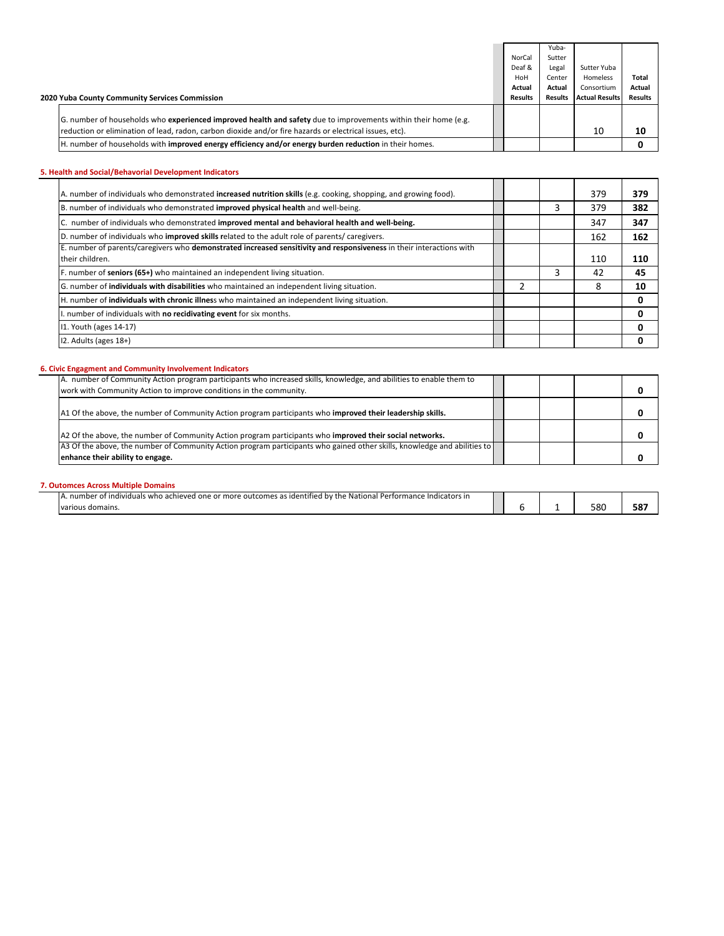|                                                                                                                |         | Yuba-          |                       |                |
|----------------------------------------------------------------------------------------------------------------|---------|----------------|-----------------------|----------------|
|                                                                                                                | NorCal  | Sutter         |                       |                |
|                                                                                                                | Deaf &  | Legal          | Sutter Yuba           |                |
|                                                                                                                | HoH     | Center         | Homeless              | <b>Total</b>   |
|                                                                                                                | Actual  | Actual         | Consortium            | Actual         |
| 2020 Yuba County Community Services Commission                                                                 | Results | <b>Results</b> | <b>Actual Results</b> | <b>Results</b> |
|                                                                                                                |         |                |                       |                |
| G. number of households who experienced improved health and safety due to improvements within their home (e.g. |         |                |                       |                |
| reduction or elimination of lead, radon, carbon dioxide and/or fire hazards or electrical issues, etc).        |         |                | 10                    | 10             |
| H. number of households with <b>improved energy efficiency and/or energy burden reduction</b> in their homes.  |         |                |                       |                |

## **5. Health and Social/Behavorial Development Indicators**

| A. number of individuals who demonstrated increased nutrition skills (e.g. cooking, shopping, and growing food).     |   |   | 379 | 379 |
|----------------------------------------------------------------------------------------------------------------------|---|---|-----|-----|
| B. number of individuals who demonstrated improved physical health and well-being.                                   |   | 3 | 379 | 382 |
| C. number of individuals who demonstrated improved mental and behavioral health and well-being.                      |   |   | 347 | 347 |
| D. number of individuals who improved skills related to the adult role of parents/caregivers.                        |   |   | 162 | 162 |
| E. number of parents/caregivers who demonstrated increased sensitivity and responsiveness in their interactions with |   |   |     |     |
| their children.                                                                                                      |   |   | 110 | 110 |
| F. number of seniors (65+) who maintained an independent living situation.                                           |   |   | 42  | 45  |
| G. number of <b>individuals with disabilities</b> who maintained an independent living situation.                    | า |   | 8   | 10  |
| H. number of <b>individuals with chronic illnes</b> who maintained an independent living situation.                  |   |   |     | 0   |
| . number of individuals with no recidivating event for six months.                                                   |   |   |     |     |
| 11. Youth (ages 14-17)                                                                                               |   |   |     |     |
| 12. Adults (ages 18+)                                                                                                |   |   |     |     |

## **6. Civic Engagment and Community Involvement Indicators**

| A. number of Community Action program participants who increased skills, knowledge, and abilities to enable them to                                          |  |
|--------------------------------------------------------------------------------------------------------------------------------------------------------------|--|
| work with Community Action to improve conditions in the community.                                                                                           |  |
| A1 Of the above, the number of Community Action program participants who improved their leadership skills.                                                   |  |
| A2 Of the above, the number of Community Action program participants who improved their social networks.                                                     |  |
| A3 Of the above, the number of Community Action program participants who gained other skills, knowledge and abilities to<br>enhance their ability to engage. |  |

## **7. Outomces Across Multiple Domains**

| $\cdot \cdot \cdot$<br>$+ion$<br>Indicators in<br>individuals<br>who achieved<br>.outcomes<br>ide<br>mance<br>more<br>nne<br><br>от<br>antifiec<br>' one<br>попаг<br>nur<br>. .<br>IV di<br>.<br>. |  |     |           |
|----------------------------------------------------------------------------------------------------------------------------------------------------------------------------------------------------|--|-----|-----------|
|                                                                                                                                                                                                    |  |     |           |
| domains.                                                                                                                                                                                           |  | 580 | ---<br>58 |
|                                                                                                                                                                                                    |  |     |           |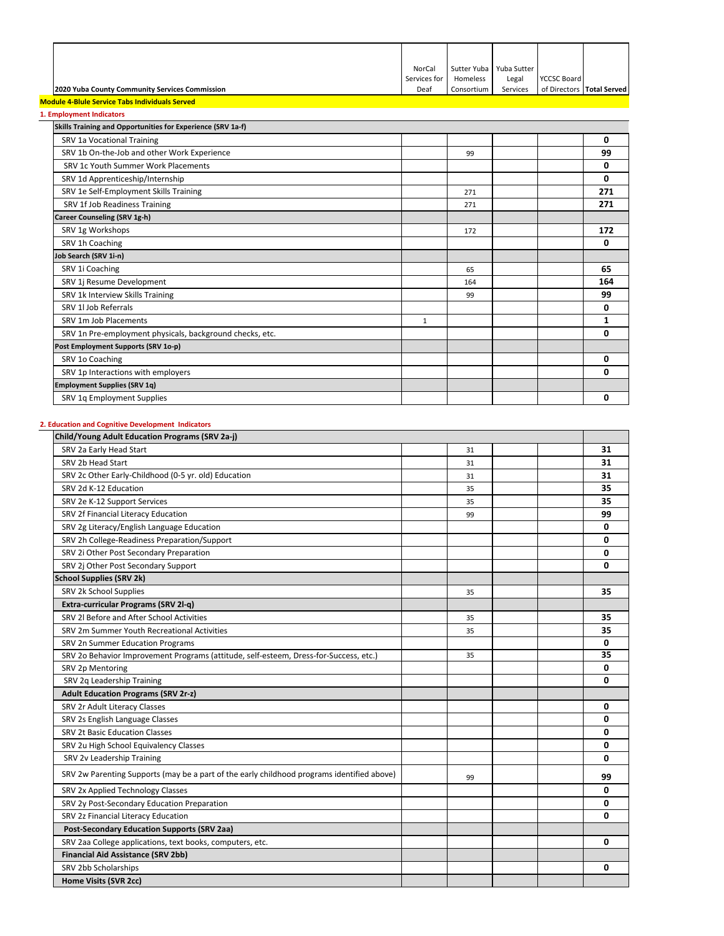|                                                | NorCal       | Sutter Yuba   Yuba Sutter |          |                           |  |
|------------------------------------------------|--------------|---------------------------|----------|---------------------------|--|
|                                                | Services for | Homeless                  | Legal    | <b>YCCSC Board</b>        |  |
| 2020 Yuba County Community Services Commission | Deaf         | Consortium                | Services | of Directors Total Served |  |

## **Module 4‐Blule Service Tabs Individuals Served 1. Employment Indicators**

| <b>Employment Indicators</b>                                |              |     |     |
|-------------------------------------------------------------|--------------|-----|-----|
| Skills Training and Opportunities for Experience (SRV 1a-f) |              |     |     |
| SRV 1a Vocational Training                                  |              |     | 0   |
| SRV 1b On-the-Job and other Work Experience                 |              | 99  | 99  |
| SRV 1c Youth Summer Work Placements                         |              |     | 0   |
| SRV 1d Apprenticeship/Internship                            |              |     | 0   |
| SRV 1e Self-Employment Skills Training                      |              | 271 | 271 |
| SRV 1f Job Readiness Training                               |              | 271 | 271 |
| <b>Career Counseling (SRV 1g-h)</b>                         |              |     |     |
| SRV 1g Workshops                                            |              | 172 | 172 |
| SRV 1h Coaching                                             |              |     | 0   |
| Job Search (SRV 1i-n)                                       |              |     |     |
| SRV 1i Coaching                                             |              | 65  | 65  |
| SRV 1j Resume Development                                   |              | 164 | 164 |
| SRV 1k Interview Skills Training                            |              | 99  | 99  |
| SRV 1l Job Referrals                                        |              |     | 0   |
| SRV 1m Job Placements                                       | $\mathbf{1}$ |     | 1   |
| SRV 1n Pre-employment physicals, background checks, etc.    |              |     | 0   |
| Post Employment Supports (SRV 1o-p)                         |              |     |     |
| SRV 1o Coaching                                             |              |     | 0   |
| SRV 1p Interactions with employers                          |              |     | 0   |
| <b>Employment Supplies (SRV 1q)</b>                         |              |     |     |
| SRV 1q Employment Supplies                                  |              |     | 0   |

## **2. Education and Cognitive Development Indicators**

| Child/Young Adult Education Programs (SRV 2a-j)                                            |  |    |  |  |    |
|--------------------------------------------------------------------------------------------|--|----|--|--|----|
| SRV 2a Early Head Start                                                                    |  | 31 |  |  | 31 |
| SRV 2b Head Start                                                                          |  | 31 |  |  | 31 |
| SRV 2c Other Early-Childhood (0-5 yr. old) Education                                       |  | 31 |  |  | 31 |
| SRV 2d K-12 Education                                                                      |  | 35 |  |  | 35 |
| SRV 2e K-12 Support Services                                                               |  | 35 |  |  | 35 |
| SRV 2f Financial Literacy Education                                                        |  | 99 |  |  | 99 |
| SRV 2g Literacy/English Language Education                                                 |  |    |  |  | 0  |
| SRV 2h College-Readiness Preparation/Support                                               |  |    |  |  | 0  |
| SRV 2i Other Post Secondary Preparation                                                    |  |    |  |  | 0  |
| SRV 2j Other Post Secondary Support                                                        |  |    |  |  | 0  |
| <b>School Supplies (SRV 2k)</b>                                                            |  |    |  |  |    |
| SRV 2k School Supplies                                                                     |  | 35 |  |  | 35 |
| Extra-curricular Programs (SRV 2l-q)                                                       |  |    |  |  |    |
| SRV 2l Before and After School Activities                                                  |  | 35 |  |  | 35 |
| SRV 2m Summer Youth Recreational Activities                                                |  | 35 |  |  | 35 |
| SRV 2n Summer Education Programs                                                           |  |    |  |  | 0  |
| SRV 2o Behavior Improvement Programs (attitude, self-esteem, Dress-for-Success, etc.)      |  | 35 |  |  | 35 |
| SRV 2p Mentoring                                                                           |  |    |  |  | 0  |
| SRV 2q Leadership Training                                                                 |  |    |  |  | 0  |
| <b>Adult Education Programs (SRV 2r-z)</b>                                                 |  |    |  |  |    |
| SRV 2r Adult Literacy Classes                                                              |  |    |  |  | 0  |
| SRV 2s English Language Classes                                                            |  |    |  |  | 0  |
| <b>SRV 2t Basic Education Classes</b>                                                      |  |    |  |  | 0  |
| SRV 2u High School Equivalency Classes                                                     |  |    |  |  | 0  |
| SRV 2v Leadership Training                                                                 |  |    |  |  | 0  |
| SRV 2w Parenting Supports (may be a part of the early childhood programs identified above) |  | 99 |  |  | 99 |
| SRV 2x Applied Technology Classes                                                          |  |    |  |  | 0  |
| SRV 2y Post-Secondary Education Preparation                                                |  |    |  |  | 0  |
| SRV 2z Financial Literacy Education                                                        |  |    |  |  | 0  |
| <b>Post-Secondary Education Supports (SRV 2aa)</b>                                         |  |    |  |  |    |
| SRV 2aa College applications, text books, computers, etc.                                  |  |    |  |  | 0  |
| <b>Financial Aid Assistance (SRV 2bb)</b>                                                  |  |    |  |  |    |
| SRV 2bb Scholarships                                                                       |  |    |  |  | 0  |
| Home Visits (SVR 2cc)                                                                      |  |    |  |  |    |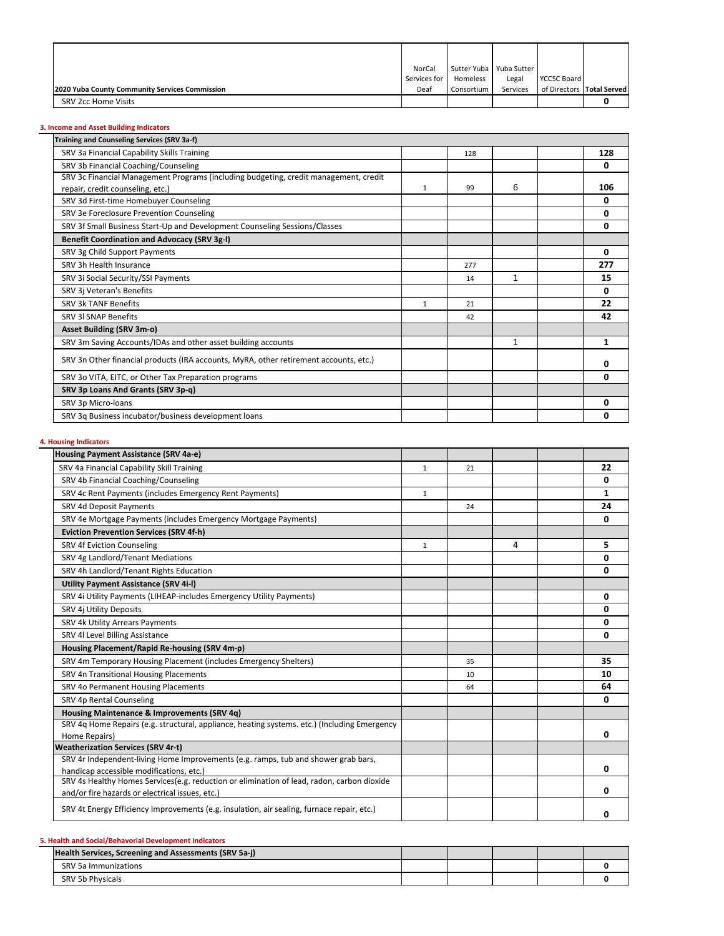|                                                | NorCal         |            | Sutter Yuba   Yuba Sutter |                    |                           |
|------------------------------------------------|----------------|------------|---------------------------|--------------------|---------------------------|
|                                                | Services for 1 | Homeless   | Legal                     | <b>YCCSC Board</b> |                           |
| 2020 Yuba County Community Services Commission | Deaf           | Consortium | Services                  |                    | of Directors Total Served |
| SRV 2cc Home Visits                            |                |            |                           |                    |                           |

# **3. Income and Asset Building Indicators**

| Training and Counseling Services (SRV 3a-f)                                           |              |     |              |     |
|---------------------------------------------------------------------------------------|--------------|-----|--------------|-----|
| SRV 3a Financial Capability Skills Training                                           |              | 128 |              | 128 |
| SRV 3b Financial Coaching/Counseling                                                  |              |     |              | 0   |
| SRV 3c Financial Management Programs (including budgeting, credit management, credit  |              |     |              |     |
| repair, credit counseling, etc.)                                                      | $\mathbf{1}$ | 99  | 6            | 106 |
| SRV 3d First-time Homebuyer Counseling                                                |              |     |              | 0   |
| SRV 3e Foreclosure Prevention Counseling                                              |              |     |              | 0   |
| SRV 3f Small Business Start-Up and Development Counseling Sessions/Classes            |              |     |              | 0   |
| <b>Benefit Coordination and Advocacy (SRV 3g-I)</b>                                   |              |     |              |     |
| SRV 3g Child Support Payments                                                         |              |     |              | 0   |
| SRV 3h Health Insurance                                                               |              | 277 |              | 277 |
| SRV 3i Social Security/SSI Payments                                                   |              | 14  | $\mathbf{1}$ | 15  |
| SRV 3j Veteran's Benefits                                                             |              |     |              | 0   |
| SRV 3k TANF Benefits                                                                  | $\mathbf{1}$ | 21  |              | 22  |
| <b>SRV 3I SNAP Benefits</b>                                                           |              | 42  |              | 42  |
| <b>Asset Building (SRV 3m-o)</b>                                                      |              |     |              |     |
| SRV 3m Saving Accounts/IDAs and other asset building accounts                         |              |     | 1            | 1   |
| SRV 3n Other financial products (IRA accounts, MyRA, other retirement accounts, etc.) |              |     |              | 0   |
| SRV 3o VITA, EITC, or Other Tax Preparation programs                                  |              |     |              | 0   |
| SRV 3p Loans And Grants (SRV 3p-q)                                                    |              |     |              |     |
| SRV 3p Micro-loans                                                                    |              |     |              | 0   |
| SRV 3g Business incubator/business development loans                                  |              |     |              | 0   |
|                                                                                       |              |     |              |     |

# **4. Housing Indicators**

| Housing Payment Assistance (SRV 4a-e)                                                        |   |    |   |    |
|----------------------------------------------------------------------------------------------|---|----|---|----|
| SRV 4a Financial Capability Skill Training                                                   | 1 | 21 |   | 22 |
| SRV 4b Financial Coaching/Counseling                                                         |   |    |   | 0  |
| SRV 4c Rent Payments (includes Emergency Rent Payments)                                      | 1 |    |   | 1  |
| SRV 4d Deposit Payments                                                                      |   | 24 |   | 24 |
| SRV 4e Mortgage Payments (includes Emergency Mortgage Payments)                              |   |    |   | 0  |
| <b>Eviction Prevention Services (SRV 4f-h)</b>                                               |   |    |   |    |
| <b>SRV 4f Eviction Counseling</b>                                                            | 1 |    | 4 | 5  |
| SRV 4g Landlord/Tenant Mediations                                                            |   |    |   | 0  |
| SRV 4h Landlord/Tenant Rights Education                                                      |   |    |   | 0  |
| <b>Utility Payment Assistance (SRV 4i-I)</b>                                                 |   |    |   |    |
| SRV 4i Utility Payments (LIHEAP-includes Emergency Utility Payments)                         |   |    |   | 0  |
| SRV 4j Utility Deposits                                                                      |   |    |   | 0  |
| SRV 4k Utility Arrears Payments                                                              |   |    |   | 0  |
| SRV 4l Level Billing Assistance                                                              |   |    |   | 0  |
| Housing Placement/Rapid Re-housing (SRV 4m-p)                                                |   |    |   |    |
| SRV 4m Temporary Housing Placement (includes Emergency Shelters)                             |   | 35 |   | 35 |
| SRV 4n Transitional Housing Placements                                                       |   | 10 |   | 10 |
| SRV 4o Permanent Housing Placements                                                          |   | 64 |   | 64 |
| SRV 4p Rental Counseling                                                                     |   |    |   | 0  |
| Housing Maintenance & Improvements (SRV 4q)                                                  |   |    |   |    |
| SRV 4q Home Repairs (e.g. structural, appliance, heating systems. etc.) (Including Emergency |   |    |   |    |
| Home Repairs)                                                                                |   |    |   | 0  |
| <b>Weatherization Services (SRV 4r-t)</b>                                                    |   |    |   |    |
| SRV 4r Independent-living Home Improvements (e.g. ramps, tub and shower grab bars,           |   |    |   |    |
| handicap accessible modifications, etc.)                                                     |   |    |   | 0  |
| SRV 4s Healthy Homes Services(e.g. reduction or elimination of lead, radon, carbon dioxide   |   |    |   |    |
| and/or fire hazards or electrical issues, etc.)                                              |   |    |   | 0  |
| SRV 4t Energy Efficiency Improvements (e.g. insulation, air sealing, furnace repair, etc.)   |   |    |   | 0  |

# **5. Health and Social/Behavorial Development Indicators**

| SRV 5a Immunizations<br><b>SRV 5b Physicals</b> | Health Services, Screening and Assessments (SRV 5a-j) |  |  |  |
|-------------------------------------------------|-------------------------------------------------------|--|--|--|
|                                                 |                                                       |  |  |  |
|                                                 |                                                       |  |  |  |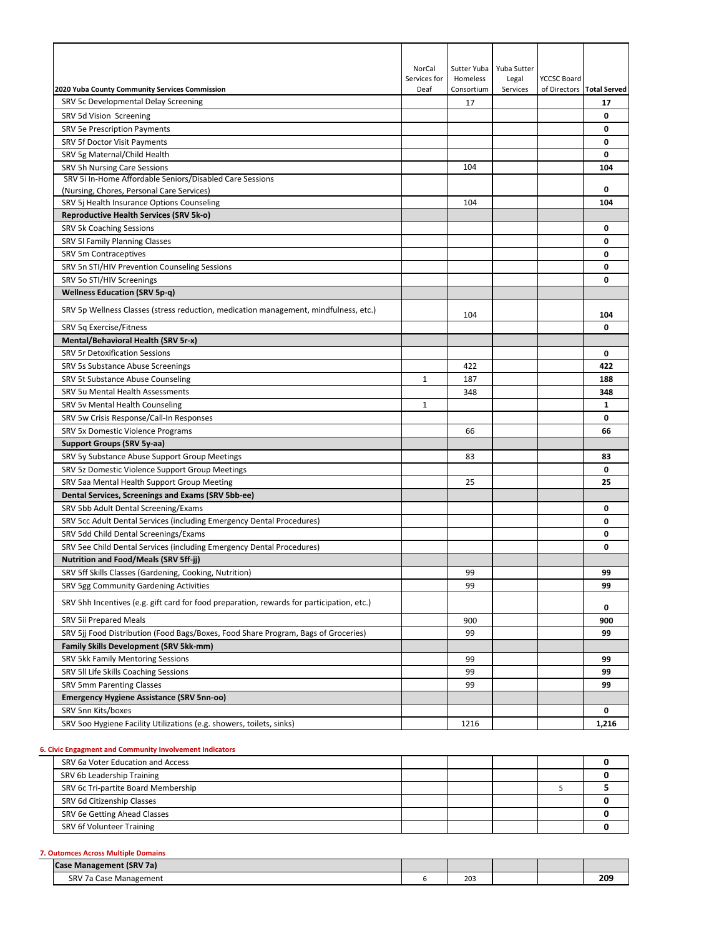| 2020 Yuba County Community Services Commission                                            | NorCal<br>Services for<br>Deaf | Sutter Yuba<br>Homeless<br>Consortium | Yuba Sutter<br>Legal<br>Services | <b>YCCSC Board</b> | of Directors Total Served |
|-------------------------------------------------------------------------------------------|--------------------------------|---------------------------------------|----------------------------------|--------------------|---------------------------|
| SRV 5c Developmental Delay Screening                                                      |                                | 17                                    |                                  |                    | 17                        |
| SRV 5d Vision Screening                                                                   |                                |                                       |                                  |                    | 0                         |
| <b>SRV 5e Prescription Payments</b>                                                       |                                |                                       |                                  |                    | 0                         |
| SRV 5f Doctor Visit Payments                                                              |                                |                                       |                                  |                    | 0                         |
| SRV 5g Maternal/Child Health                                                              |                                |                                       |                                  |                    | 0                         |
| SRV 5h Nursing Care Sessions                                                              |                                | 104                                   |                                  |                    | 104                       |
| SRV 5i In-Home Affordable Seniors/Disabled Care Sessions                                  |                                |                                       |                                  |                    |                           |
| (Nursing, Chores, Personal Care Services)                                                 |                                |                                       |                                  |                    | 0                         |
| SRV 5j Health Insurance Options Counseling                                                |                                | 104                                   |                                  |                    | 104                       |
| Reproductive Health Services (SRV 5k-o)                                                   |                                |                                       |                                  |                    |                           |
| SRV 5k Coaching Sessions                                                                  |                                |                                       |                                  |                    | 0                         |
| SRV 5I Family Planning Classes                                                            |                                |                                       |                                  |                    | 0                         |
| SRV 5m Contraceptives                                                                     |                                |                                       |                                  |                    | 0                         |
| SRV 5n STI/HIV Prevention Counseling Sessions                                             |                                |                                       |                                  |                    | 0                         |
| SRV 5o STI/HIV Screenings                                                                 |                                |                                       |                                  |                    | 0                         |
| <b>Wellness Education (SRV 5p-q)</b>                                                      |                                |                                       |                                  |                    |                           |
| SRV 5p Wellness Classes (stress reduction, medication management, mindfulness, etc.)      |                                | 104                                   |                                  |                    | 104                       |
| SRV 5q Exercise/Fitness                                                                   |                                |                                       |                                  |                    | 0                         |
| Mental/Behavioral Health (SRV 5r-x)                                                       |                                |                                       |                                  |                    |                           |
| <b>SRV 5r Detoxification Sessions</b>                                                     |                                |                                       |                                  |                    | 0                         |
| SRV 5s Substance Abuse Screenings                                                         |                                | 422                                   |                                  |                    | 422                       |
| SRV 5t Substance Abuse Counseling                                                         | $\mathbf{1}$                   | 187                                   |                                  |                    | 188                       |
| SRV 5u Mental Health Assessments                                                          |                                | 348                                   |                                  |                    | 348                       |
| SRV 5v Mental Health Counseling                                                           | $\mathbf{1}$                   |                                       |                                  |                    | $\mathbf{1}$              |
| SRV 5w Crisis Response/Call-In Responses                                                  |                                |                                       |                                  |                    | 0                         |
| SRV 5x Domestic Violence Programs                                                         |                                | 66                                    |                                  |                    | 66                        |
| Support Groups (SRV 5y-aa)                                                                |                                |                                       |                                  |                    |                           |
| SRV 5y Substance Abuse Support Group Meetings                                             |                                | 83                                    |                                  |                    | 83                        |
| SRV 5z Domestic Violence Support Group Meetings                                           |                                |                                       |                                  |                    | 0                         |
| SRV 5aa Mental Health Support Group Meeting                                               |                                | 25                                    |                                  |                    | 25                        |
|                                                                                           |                                |                                       |                                  |                    |                           |
| Dental Services, Screenings and Exams (SRV 5bb-ee)                                        |                                |                                       |                                  |                    |                           |
| SRV 5bb Adult Dental Screening/Exams                                                      |                                |                                       |                                  |                    | 0                         |
| SRV 5cc Adult Dental Services (including Emergency Dental Procedures)                     |                                |                                       |                                  |                    | 0                         |
| SRV 5dd Child Dental Screenings/Exams                                                     |                                |                                       |                                  |                    | 0                         |
| SRV 5ee Child Dental Services (including Emergency Dental Procedures)                     |                                |                                       |                                  |                    | 0                         |
| <b>Nutrition and Food/Meals (SRV 5ff-jj)</b>                                              |                                |                                       |                                  |                    |                           |
| SRV 5ff Skills Classes (Gardening, Cooking, Nutrition)                                    |                                | 99                                    |                                  |                    | 99                        |
| SRV 5gg Community Gardening Activities                                                    |                                | 99                                    |                                  |                    | 99                        |
| SRV 5hh Incentives (e.g. gift card for food preparation, rewards for participation, etc.) |                                |                                       |                                  |                    | 0                         |
| SRV 5ii Prepared Meals                                                                    |                                | 900                                   |                                  |                    | 900                       |
| SRV 5jj Food Distribution (Food Bags/Boxes, Food Share Program, Bags of Groceries)        |                                | 99                                    |                                  |                    | 99                        |
| <b>Family Skills Development (SRV 5kk-mm)</b>                                             |                                |                                       |                                  |                    |                           |
| SRV 5kk Family Mentoring Sessions                                                         |                                | 99                                    |                                  |                    | 99                        |
| SRV 5II Life Skills Coaching Sessions                                                     |                                | 99                                    |                                  |                    | 99                        |
| <b>SRV 5mm Parenting Classes</b>                                                          |                                | 99                                    |                                  |                    | 99                        |
| <b>Emergency Hygiene Assistance (SRV 5nn-oo)</b>                                          |                                |                                       |                                  |                    |                           |
| SRV 5nn Kits/boxes                                                                        |                                |                                       |                                  |                    | 0                         |
| SRV 500 Hygiene Facility Utilizations (e.g. showers, toilets, sinks)                      |                                | 1216                                  |                                  |                    | 1,216                     |

## **6. Civic Engagment and Community Involvement Indicators**

| SRV 6a Voter Education and Access   |  |  |  |
|-------------------------------------|--|--|--|
| SRV 6b Leadership Training          |  |  |  |
| SRV 6c Tri-partite Board Membership |  |  |  |
| SRV 6d Citizenship Classes          |  |  |  |
| SRV 6e Getting Ahead Classes        |  |  |  |
| SRV 6f Volunteer Training           |  |  |  |
|                                     |  |  |  |

## **7. Outomces Across Multiple Domains**

| <b>Case Management (SRV 7a)</b>        |            |  |             |
|----------------------------------------|------------|--|-------------|
| SRV <sub>7a</sub><br>Management<br>ACF | 202<br>203 |  | י הר<br>ZU: |
|                                        |            |  |             |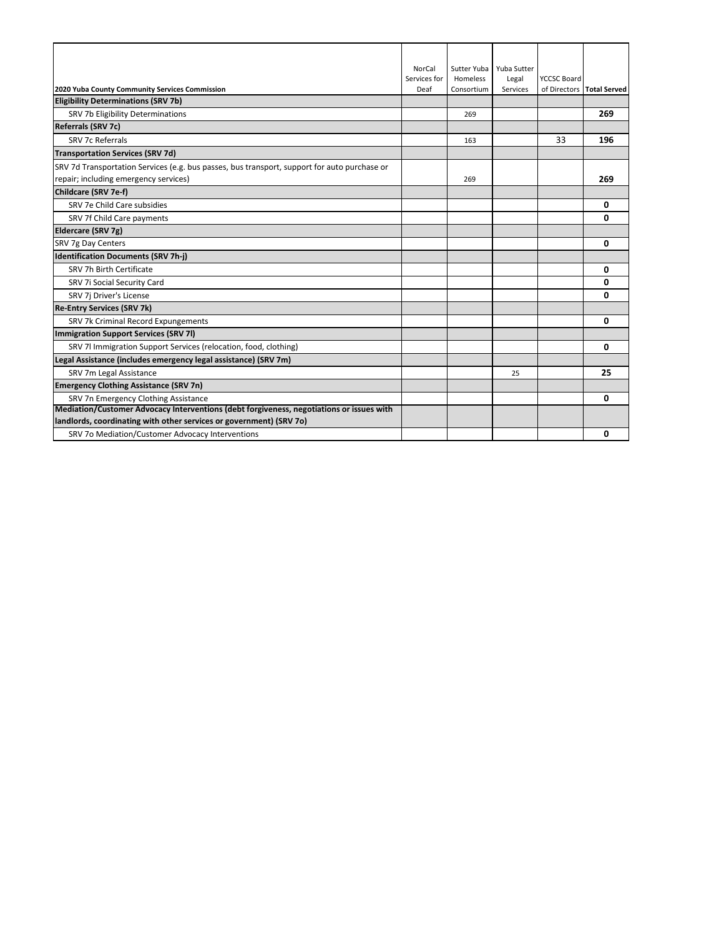|                                                                                              | <b>NorCal</b> | Sutter Yuba | Yuba Sutter |                    |                           |
|----------------------------------------------------------------------------------------------|---------------|-------------|-------------|--------------------|---------------------------|
|                                                                                              | Services for  | Homeless    | Legal       | <b>YCCSC Board</b> |                           |
| 2020 Yuba County Community Services Commission                                               | Deaf          | Consortium  | Services    |                    | of Directors Total Served |
| <b>Eligibility Determinations (SRV 7b)</b>                                                   |               |             |             |                    |                           |
| SRV 7b Eligibility Determinations                                                            |               | 269         |             |                    | 269                       |
| <b>Referrals (SRV 7c)</b>                                                                    |               |             |             |                    |                           |
| SRV 7c Referrals                                                                             |               | 163         |             | 33                 | 196                       |
| <b>Transportation Services (SRV 7d)</b>                                                      |               |             |             |                    |                           |
| SRV 7d Transportation Services (e.g. bus passes, bus transport, support for auto purchase or |               |             |             |                    |                           |
| repair; including emergency services)                                                        |               | 269         |             |                    | 269                       |
| Childcare (SRV 7e-f)                                                                         |               |             |             |                    |                           |
| SRV 7e Child Care subsidies                                                                  |               |             |             |                    | 0                         |
| SRV 7f Child Care payments                                                                   |               |             |             |                    | 0                         |
| Eldercare (SRV 7g)                                                                           |               |             |             |                    |                           |
| SRV 7g Day Centers                                                                           |               |             |             |                    | 0                         |
| <b>Identification Documents (SRV 7h-j)</b>                                                   |               |             |             |                    |                           |
| SRV 7h Birth Certificate                                                                     |               |             |             |                    | 0                         |
| SRV 7i Social Security Card                                                                  |               |             |             |                    | 0                         |
| SRV 7j Driver's License                                                                      |               |             |             |                    | 0                         |
| <b>Re-Entry Services (SRV 7k)</b>                                                            |               |             |             |                    |                           |
| SRV 7k Criminal Record Expungements                                                          |               |             |             |                    | 0                         |
| Immigration Support Services (SRV 7I)                                                        |               |             |             |                    |                           |
| SRV 7l Immigration Support Services (relocation, food, clothing)                             |               |             |             |                    | 0                         |
| Legal Assistance (includes emergency legal assistance) (SRV 7m)                              |               |             |             |                    |                           |
| SRV 7m Legal Assistance                                                                      |               |             | 25          |                    | 25                        |
| <b>Emergency Clothing Assistance (SRV 7n)</b>                                                |               |             |             |                    |                           |
| SRV 7n Emergency Clothing Assistance                                                         |               |             |             |                    | 0                         |
| Mediation/Customer Advocacy Interventions (debt forgiveness, negotiations or issues with     |               |             |             |                    |                           |
| landlords, coordinating with other services or government) (SRV 70)                          |               |             |             |                    |                           |
| SRV 7o Mediation/Customer Advocacy Interventions                                             |               |             |             |                    | 0                         |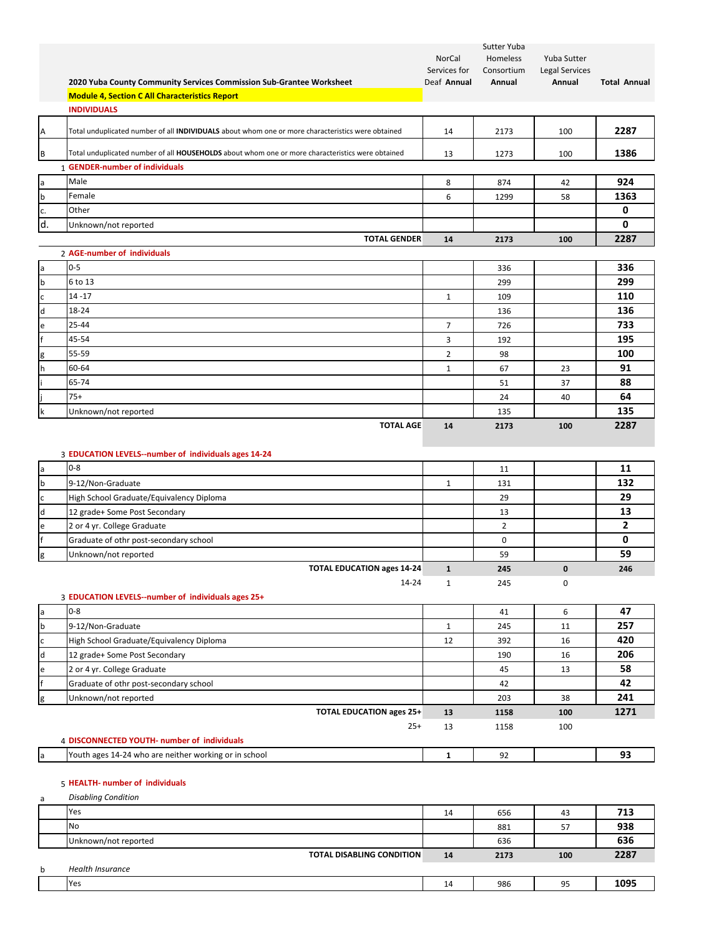|              |                                                                                                   |                        | Sutter Yuba            |                                      |                      |
|--------------|---------------------------------------------------------------------------------------------------|------------------------|------------------------|--------------------------------------|----------------------|
|              |                                                                                                   | NorCal<br>Services for | Homeless<br>Consortium | Yuba Sutter<br><b>Legal Services</b> |                      |
|              | 2020 Yuba County Community Services Commission Sub-Grantee Worksheet                              | Deaf Annual            | Annual                 | Annual                               | <b>Total Annual</b>  |
|              | <b>Module 4, Section C All Characteristics Report</b>                                             |                        |                        |                                      |                      |
|              | <b>INDIVIDUALS</b>                                                                                |                        |                        |                                      |                      |
| Α            | Total unduplicated number of all INDIVIDUALS about whom one or more characteristics were obtained | 14                     | 2173                   | 100                                  | 2287                 |
| B            | Total unduplicated number of all HOUSEHOLDS about whom one or more characteristics were obtained  | 13                     | 1273                   | 100                                  | 1386                 |
|              | 1 GENDER-number of individuals                                                                    |                        |                        |                                      |                      |
| a            | Male                                                                                              | 8                      | 874                    | 42                                   | 924                  |
| b            | Female                                                                                            | 6                      | 1299                   | 58                                   | 1363                 |
| c.           | Other                                                                                             |                        |                        |                                      | 0                    |
| d.           | Unknown/not reported                                                                              |                        |                        |                                      | 0                    |
|              | <b>TOTAL GENDER</b>                                                                               | 14                     | 2173                   | 100                                  | 2287                 |
|              | 2 AGE-number of individuals                                                                       |                        |                        |                                      |                      |
| a            | $0 - 5$                                                                                           |                        | 336                    |                                      | 336                  |
| b            | 6 to 13                                                                                           |                        | 299                    |                                      | 299                  |
| c            | $14 - 17$                                                                                         | $\mathbf{1}$           | 109                    |                                      | 110                  |
| d            | 18-24                                                                                             |                        | 136                    |                                      | 136                  |
| e            | 25-44                                                                                             | $\overline{7}$         | 726                    |                                      | 733                  |
|              | 45-54                                                                                             | 3                      | 192                    |                                      | 195                  |
| g            | 55-59                                                                                             | $\overline{2}$         | 98                     |                                      | 100                  |
| h            | 60-64                                                                                             | 1                      | 67                     | 23                                   | 91                   |
|              | 65-74                                                                                             |                        | 51                     | 37                                   | 88                   |
|              | $75+$                                                                                             |                        | 24                     | 40                                   | 64                   |
| k            | Unknown/not reported                                                                              |                        | 135                    |                                      | 135                  |
|              | <b>TOTAL AGE</b>                                                                                  | 14                     | 2173                   | 100                                  | 2287                 |
|              |                                                                                                   |                        |                        |                                      |                      |
|              | 3 EDUCATION LEVELS--number of individuals ages 14-24<br>$0 - 8$                                   |                        |                        |                                      |                      |
| a            |                                                                                                   |                        | 11                     |                                      | 11                   |
| b            | 9-12/Non-Graduate                                                                                 | $\mathbf{1}$           | 131                    |                                      | 132                  |
| c            | High School Graduate/Equivalency Diploma                                                          |                        | 29                     |                                      | 29                   |
| $\mathsf{d}$ | 12 grade+ Some Post Secondary                                                                     |                        | 13                     |                                      | 13<br>$\overline{2}$ |
| e            | 2 or 4 yr. College Graduate                                                                       |                        | $\overline{2}$         |                                      | 0                    |
|              | Graduate of othr post-secondary school                                                            |                        | $\mathbf 0$            |                                      | 59                   |
| g            | Unknown/not reported<br><b>TOTAL EDUCATION ages 14-24</b>                                         |                        | 59                     | $\Omega$                             |                      |
|              |                                                                                                   | $\mathbf{1}$           | 245                    |                                      | 246                  |
|              | 14-24<br>3 EDUCATION LEVELS--number of individuals ages 25+                                       | $\mathbf{1}$           | 245                    | 0                                    |                      |
| a            | $0 - 8$                                                                                           |                        | 41                     | 6                                    | 47                   |
| b            | 9-12/Non-Graduate                                                                                 | $\mathbf{1}$           | 245                    | 11                                   | 257                  |
| c            | High School Graduate/Equivalency Diploma                                                          | 12                     | 392                    | 16                                   | 420                  |
| d            | 12 grade+ Some Post Secondary                                                                     |                        | 190                    | 16                                   | 206                  |
| e            | 2 or 4 yr. College Graduate                                                                       |                        | 45                     | 13                                   | 58                   |
|              | Graduate of othr post-secondary school                                                            |                        | 42                     |                                      | 42                   |
| g            | Unknown/not reported                                                                              |                        | 203                    | 38                                   | 241                  |
|              | <b>TOTAL EDUCATION ages 25+</b>                                                                   | 13                     | 1158                   | 100                                  | 1271                 |
|              | $25+$                                                                                             | 13                     | 1158                   | 100                                  |                      |
|              | 4 DISCONNECTED YOUTH- number of individuals                                                       |                        |                        |                                      |                      |
| a            | Youth ages 14-24 who are neither working or in school                                             | $\mathbf{1}$           | 92                     |                                      | 93                   |
|              |                                                                                                   |                        |                        |                                      |                      |
|              | 5 HEALTH- number of individuals                                                                   |                        |                        |                                      |                      |
| a            | <b>Disabling Condition</b>                                                                        |                        |                        |                                      |                      |

|   | <b>IYes</b>                      | 14 | 656  | 43  | 713  |
|---|----------------------------------|----|------|-----|------|
|   | <b>No</b>                        |    | 881  | 57  | 938  |
|   | Unknown/not reported             |    | 636  |     | 636  |
|   | <b>TOTAL DISABLING CONDITION</b> | 14 | 2173 | 100 | 2287 |
| b | <b>Health Insurance</b>          |    |      |     |      |
|   | Yes                              | 14 | 986  | 95  | 1095 |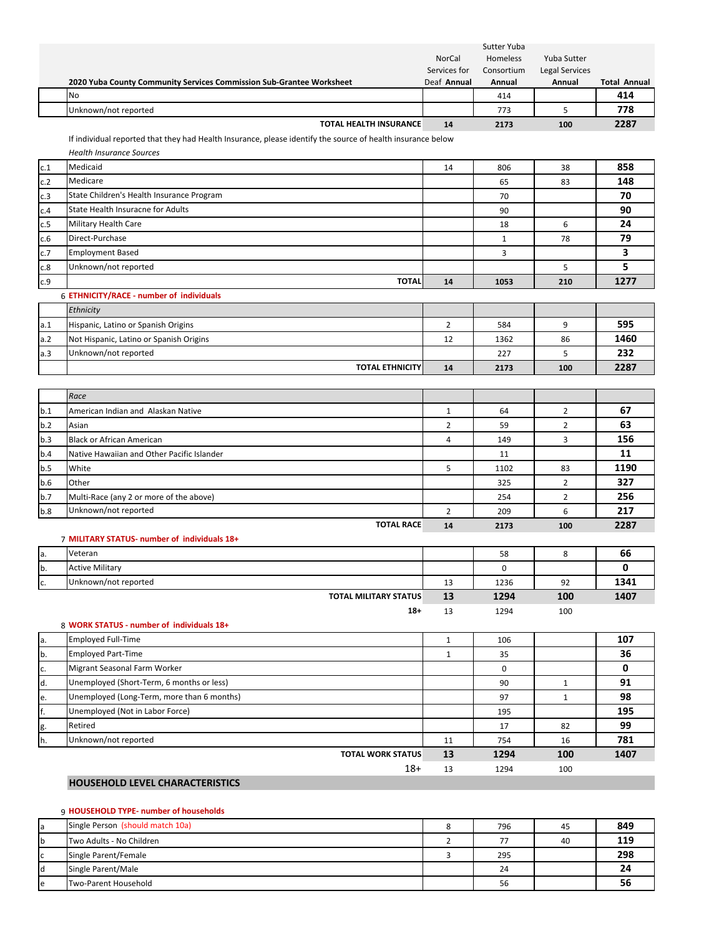|     | 2020 Yuba County Community Services Commission Sub-Grantee Worksheet                                        | NorCal<br>Services for<br>Deaf Annual | Sutter Yuba<br><b>Homeless</b><br>Consortium<br>Annual | Yuba Sutter<br>Legal Services<br>Annual | <b>Total Annual</b> |
|-----|-------------------------------------------------------------------------------------------------------------|---------------------------------------|--------------------------------------------------------|-----------------------------------------|---------------------|
|     | No                                                                                                          |                                       | 414                                                    |                                         | 414                 |
|     | Unknown/not reported                                                                                        |                                       | 773                                                    | 5                                       | 778                 |
|     | <b>TOTAL HEALTH INSURANCE</b>                                                                               | 14                                    | 2173                                                   | 100                                     | 2287                |
|     | If individual reported that they had Health Insurance, please identify the source of health insurance below |                                       |                                                        |                                         |                     |
|     | <b>Health Insurance Sources</b>                                                                             |                                       |                                                        |                                         |                     |
| c.1 | Medicaid                                                                                                    | 14                                    | 806                                                    | 38                                      | 858                 |
| c.2 | Medicare                                                                                                    |                                       | 65                                                     | 83                                      | 148                 |
| c.3 | State Children's Health Insurance Program                                                                   |                                       | 70                                                     |                                         | 70                  |
| c.4 | State Health Insuracne for Adults                                                                           |                                       | 90                                                     |                                         | 90                  |
| c.5 | Military Health Care                                                                                        |                                       | 18                                                     | 6                                       | 24                  |
| c.6 | Direct-Purchase                                                                                             |                                       | $1\,$                                                  | 78                                      | 79                  |
| c.7 | <b>Employment Based</b>                                                                                     |                                       | 3                                                      |                                         | 3                   |
| c.8 | Unknown/not reported                                                                                        |                                       |                                                        | 5                                       | 5                   |
| c.9 | <b>TOTAL</b>                                                                                                | 14                                    | 1053                                                   | 210                                     | 1277                |
|     | 6 ETHNICITY/RACE - number of individuals                                                                    |                                       |                                                        |                                         |                     |
|     | Ethnicity                                                                                                   |                                       |                                                        |                                         |                     |
| a.1 | Hispanic, Latino or Spanish Origins                                                                         | $\overline{2}$                        | 584                                                    | 9                                       | 595                 |
| a.2 | Not Hispanic, Latino or Spanish Origins                                                                     | 12                                    | 1362                                                   | 86                                      | 1460                |
| a.3 | Unknown/not reported                                                                                        |                                       | 227                                                    | 5                                       | 232                 |
|     | <b>TOTAL ETHNICITY</b>                                                                                      | 14                                    | 2173                                                   | 100                                     | 2287                |
|     |                                                                                                             |                                       |                                                        |                                         |                     |
|     | Race                                                                                                        |                                       |                                                        |                                         |                     |
| b.1 | American Indian and Alaskan Native                                                                          | $\mathbf{1}$                          | 64                                                     | $\overline{2}$                          | 67                  |
| b.2 | Asian                                                                                                       | $\overline{2}$                        | 59                                                     | $\overline{2}$                          | 63                  |
| b.3 | <b>Black or African American</b>                                                                            | 4                                     | 149                                                    | 3                                       | 156                 |
| b.4 | Native Hawaiian and Other Pacific Islander                                                                  |                                       | 11                                                     |                                         | 11                  |
| b.5 | White                                                                                                       | 5                                     | 1102                                                   | 83                                      | 1190                |
| b.6 | Other                                                                                                       |                                       | 325                                                    | $\overline{2}$                          | 327                 |
| b.7 | Multi-Race (any 2 or more of the above)                                                                     |                                       | 254                                                    | $\overline{2}$                          | 256                 |
| b.8 | Unknown/not reported                                                                                        | $\overline{2}$                        | 209                                                    | 6                                       | 217                 |
|     | <b>TOTAL RACE</b>                                                                                           | 14                                    | 2173                                                   | 100                                     | 2287                |
|     | 7 MILITARY STATUS- number of individuals 18+                                                                |                                       |                                                        |                                         |                     |
| a.  | Veteran                                                                                                     |                                       | 58                                                     | 8                                       | 66                  |
| þ.  | <b>Active Military</b>                                                                                      |                                       | 0                                                      |                                         | 0                   |
| c.  | Unknown/not reported                                                                                        | 13                                    | 1236                                                   | 92                                      | 1341                |
|     | <b>TOTAL MILITARY STATUS</b>                                                                                | 13                                    | 1294                                                   | 100                                     | 1407                |
|     | $18+$                                                                                                       | 13                                    | 1294                                                   | 100                                     |                     |
|     | 8 WORK STATUS - number of individuals 18+                                                                   |                                       |                                                        |                                         |                     |
| a.  | <b>Employed Full-Time</b>                                                                                   | $\mathbf{1}$                          | 106                                                    |                                         | 107                 |
| b.  | <b>Employed Part-Time</b>                                                                                   | $\mathbf{1}$                          | 35                                                     |                                         | 36                  |
| c.  | Migrant Seasonal Farm Worker                                                                                |                                       | 0                                                      |                                         | 0                   |
| d.  | Unemployed (Short-Term, 6 months or less)                                                                   |                                       | 90                                                     | $\mathbf{1}$                            | 91                  |
| e.  | Unemployed (Long-Term, more than 6 months)                                                                  |                                       | 97                                                     | $\mathbf{1}$                            | 98                  |
| f.  | Unemployed (Not in Labor Force)                                                                             |                                       | 195                                                    |                                         | 195                 |
| g.  | Retired                                                                                                     |                                       | 17                                                     | 82                                      | 99                  |
| h.  | Unknown/not reported                                                                                        | 11                                    | 754                                                    | 16                                      | 781                 |
|     | <b>TOTAL WORK STATUS</b>                                                                                    | 13                                    | 1294                                                   | 100                                     | 1407                |

18+ 13 1294 100

# **HOUSEHOLD LEVEL CHARACTERISTICS**

# 9 **HOUSEHOLD TYPE‐ number of households**

| la | Single Person (should match 10a) | $\circ$ | 796 | 45 | 849 |
|----|----------------------------------|---------|-----|----|-----|
| b  | Two Adults - No Children         |         | 77  | 40 | 119 |
| C  | Single Parent/Female             |         | 295 |    | 298 |
| ld | Single Parent/Male               |         | 24  |    | 24  |
| le | Two-Parent Household             |         | 56  |    | 56  |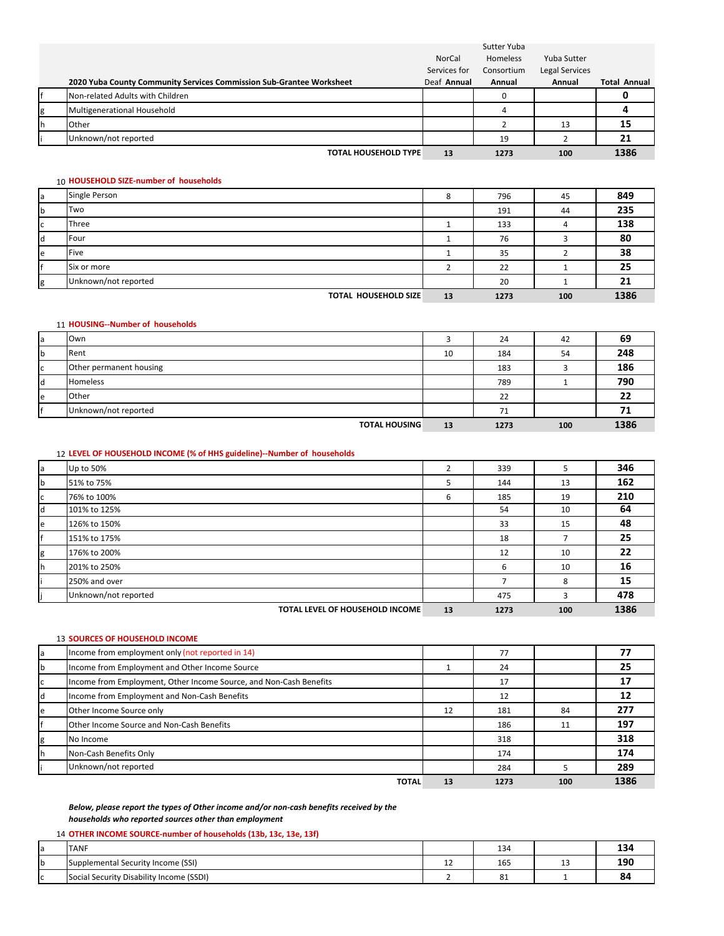|    |                                                                      |              | Sutter Yuba |                |                     |
|----|----------------------------------------------------------------------|--------------|-------------|----------------|---------------------|
|    |                                                                      | NorCal       | Homeless    | Yuba Sutter    |                     |
|    |                                                                      | Services for | Consortium  | Legal Services |                     |
|    | 2020 Yuba County Community Services Commission Sub-Grantee Worksheet | Deaf Annual  | Annual      | Annual         | <b>Total Annual</b> |
|    | Non-related Adults with Children                                     |              | 0           |                |                     |
| g  | Multigenerational Household                                          |              |             |                |                     |
| Ιh | Other                                                                |              |             | 13             | 15                  |
|    | Unknown/not reported                                                 |              | 19          |                | 21                  |
|    | <b>TOTAL HOUSEHOLD TYPE</b>                                          | 13           | 1273        | 100            | 1386                |

#### 10 **HOUSEHOLD SIZE‐number of households**

| a           | Single Person               | 8  | 796  | 45  | 849  |
|-------------|-----------------------------|----|------|-----|------|
| $\mathsf b$ | Two                         |    | 191  | 44  | 235  |
| c           | Three                       |    | 133  |     | 138  |
| ld          | Four                        |    | 76   |     | 80   |
| le          | Five                        |    | 35   |     | 38   |
| I۴          | Six or more                 |    | 22   |     | 25   |
| g           | Unknown/not reported        |    | 20   |     | 21   |
|             | <b>TOTAL HOUSEHOLD SIZE</b> | 13 | 1273 | 100 | 1386 |

## 11 **HOUSING‐‐Number of households**

|   | Own                     |    | 24   | 42  | 69   |
|---|-------------------------|----|------|-----|------|
|   | Rent                    | 10 | 184  | 54  | 248  |
|   | Other permanent housing |    | 183  |     | 186  |
|   | <b>Homeless</b>         |    | 789  |     | 790  |
| e | Other                   |    | 22   |     | 22   |
|   | Unknown/not reported    |    | 71   |     |      |
|   | <b>TOTAL HOUSING</b>    | 13 | 1273 | 100 | 1386 |

## 12 **LEVEL OF HOUSEHOLD INCOME (% of HHS guideline)‐‐Number of households**

|   | Up to 50%                       | $\overline{2}$ | 339  |     | 346  |
|---|---------------------------------|----------------|------|-----|------|
|   | 51% to 75%                      | 5              | 144  | 13  | 162  |
| c | 76% to 100%                     | 6              | 185  | 19  | 210  |
|   | 101% to 125%                    |                | 54   | 10  | 64   |
| e | 126% to 150%                    |                | 33   | 15  | 48   |
|   | 151% to 175%                    |                | 18   |     | 25   |
| g | 176% to 200%                    |                | 12   | 10  | 22   |
|   | 201% to 250%                    |                | 6    | 10  | 16   |
|   | 250% and over                   |                |      | 8   | 15   |
|   | Unknown/not reported            |                | 475  | 3   | 478  |
|   | TOTAL LEVEL OF HOUSEHOLD INCOME | 13             | 1273 | 100 | 1386 |

## 13 **SOURCES OF HOUSEHOLD INCOME**

| la | Income from employment only (not reported in 14)                   |    | 77   |     | 77   |
|----|--------------------------------------------------------------------|----|------|-----|------|
| b  | Income from Employment and Other Income Source                     |    | 24   |     | 25   |
| c  | Income from Employment, Other Income Source, and Non-Cash Benefits |    | 17   |     |      |
| d  | Income from Employment and Non-Cash Benefits                       |    | 12   |     | 12   |
| e  | Other Income Source only                                           | 12 | 181  | 84  | 277  |
|    | Other Income Source and Non-Cash Benefits                          |    | 186  | 11  | 197  |
| g  | No Income                                                          |    | 318  |     | 318  |
| Ιh | Non-Cash Benefits Only                                             |    | 174  |     | 174  |
|    | Unknown/not reported                                               |    | 284  |     | 289  |
|    | <b>TOTAL</b>                                                       | 13 | 1273 | 100 | 1386 |

## *Below, please report the types of Other income and/or non‐cash benefits received by the households who reported sources other than employment*

|  |  |  |  |  | 14 OTHER INCOME SOURCE-number of households (13b, 13c, 13e, 13f) |  |  |  |  |
|--|--|--|--|--|------------------------------------------------------------------|--|--|--|--|
|--|--|--|--|--|------------------------------------------------------------------|--|--|--|--|

| la. | <b>TANF</b>                                        |         | 134 |         | . .<br>134 |
|-----|----------------------------------------------------|---------|-----|---------|------------|
| Ib  | Supplemental Security Income (SSI)                 | <b></b> | 165 | <b></b> | 190        |
| I C | / Disability Income (SSDI)<br>. Security<br>Social |         | ᅆ   |         | 84         |